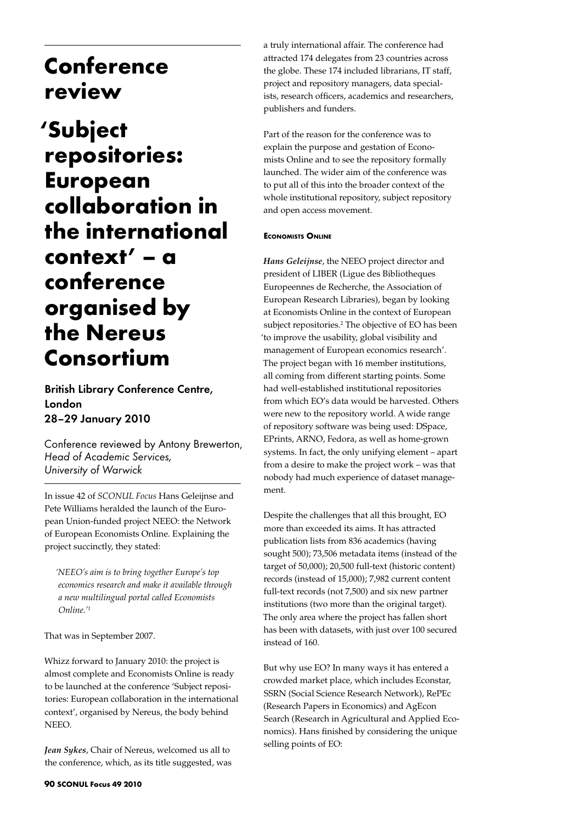## **Conference review**

# **'Subject repositories: European collaboration in the international context' – a conference organised by the Nereus Consortium**

British Library Conference Centre, London 28–29 January 2010

Conference reviewed by Antony Brewerton, *Head of Academic Services, University of Warwick*

In issue 42 of *SCONUL Focus* Hans Geleijnse and Pete Williams heralded the launch of the European Union-funded project NEEO: the Network of European Economists Online. Explaining the project succinctly, they stated:

*'NEEO's aim is to bring together Europe's top economics research and make it available through a new multilingual portal called Economists Online.'1*

That was in September 2007.

Whizz forward to January 2010: the project is almost complete and Economists Online is ready to be launched at the conference 'Subject repositories: European collaboration in the international context', organised by Nereus, the body behind NEEO.

*Jean Sykes*, Chair of Nereus, welcomed us all to the conference, which, as its title suggested, was a truly international affair. The conference had attracted 174 delegates from 23 countries across the globe. These 174 included librarians, IT staff, project and repository managers, data specialists, research officers, academics and researchers, publishers and funders.

Part of the reason for the conference was to explain the purpose and gestation of Economists Online and to see the repository formally launched. The wider aim of the conference was to put all of this into the broader context of the whole institutional repository, subject repository and open access movement.

### **Economists Online**

*Hans Geleijnse*, the NEEO project director and president of LIBER (Ligue des Bibliotheques Europeennes de Recherche, the Association of European Research Libraries), began by looking at Economists Online in the context of European subject repositories.<sup>2</sup> The objective of EO has been 'to improve the usability, global visibility and management of European economics research'. The project began with 16 member institutions, all coming from different starting points. Some had well-established institutional repositories from which EO's data would be harvested. Others were new to the repository world. A wide range of repository software was being used: DSpace, EPrints, ARNO, Fedora, as well as home-grown systems. In fact, the only unifying element – apart from a desire to make the project work – was that nobody had much experience of dataset management.

Despite the challenges that all this brought, EO more than exceeded its aims. It has attracted publication lists from 836 academics (having sought 500); 73,506 metadata items (instead of the target of 50,000); 20,500 full-text (historic content) records (instead of 15,000); 7,982 current content full-text records (not 7,500) and six new partner institutions (two more than the original target). The only area where the project has fallen short has been with datasets, with just over 100 secured instead of 160.

But why use EO? In many ways it has entered a crowded market place, which includes Econstar, SSRN (Social Science Research Network), RePEc (Research Papers in Economics) and AgEcon Search (Research in Agricultural and Applied Economics). Hans finished by considering the unique selling points of EO: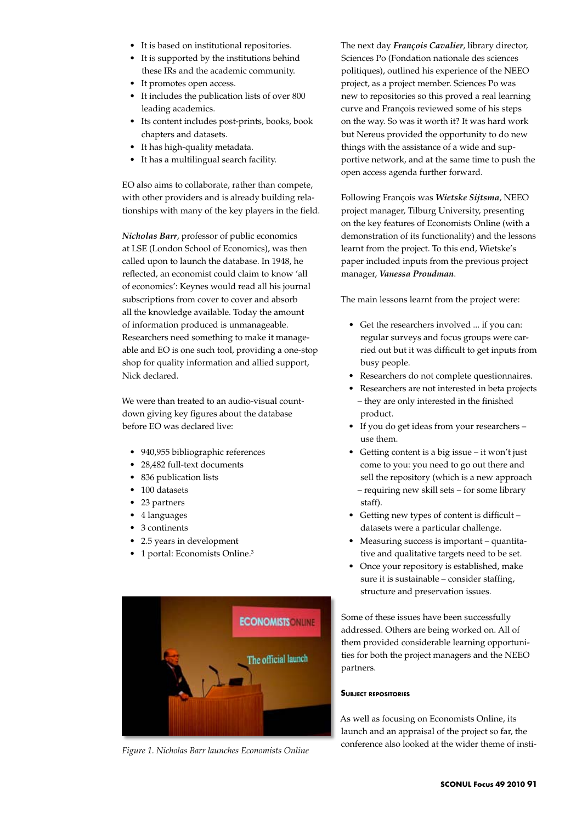- • It is based on institutional repositories.
- • It is supported by the institutions behind these IRs and the academic community.
- It promotes open access.
- • It includes the publication lists of over 800 leading academics.
- • Its content includes post-prints, books, book chapters and datasets.
- • It has high-quality metadata.
- It has a multilingual search facility.

EO also aims to collaborate, rather than compete, with other providers and is already building relationships with many of the key players in the field.

*Nicholas Barr*, professor of public economics at LSE (London School of Economics), was then called upon to launch the database. In 1948, he reflected, an economist could claim to know 'all of economics': Keynes would read all his journal subscriptions from cover to cover and absorb all the knowledge available. Today the amount of information produced is unmanageable. Researchers need something to make it manageable and EO is one such tool, providing a one-stop shop for quality information and allied support, Nick declared.

We were than treated to an audio-visual countdown giving key figures about the database before EO was declared live:

- 940,955 bibliographic references
- • 28,482 full-text documents
- 836 publication lists
- 100 datasets
- • 23 partners
- • 4 languages
- 3 continents
- • 2.5 years in development
- 1 portal: Economists Online.<sup>3</sup>



*Figure 1. Nicholas Barr launches Economists Online*

The next day *François Cavalier*, library director, Sciences Po (Fondation nationale des sciences politiques), outlined his experience of the NEEO project, as a project member. Sciences Po was new to repositories so this proved a real learning curve and François reviewed some of his steps on the way. So was it worth it? It was hard work but Nereus provided the opportunity to do new things with the assistance of a wide and supportive network, and at the same time to push the open access agenda further forward.

Following François was *Wietske Sijtsma*, NEEO project manager, Tilburg University, presenting on the key features of Economists Online (with a demonstration of its functionality) and the lessons learnt from the project. To this end, Wietske's paper included inputs from the previous project manager, *Vanessa Proudman*.

The main lessons learnt from the project were:

- • Get the researchers involved ... if you can: regular surveys and focus groups were carried out but it was difficult to get inputs from busy people.
- • Researchers do not complete questionnaires.
- • Researchers are not interested in beta projects – they are only interested in the finished product.
- If you do get ideas from your researchers use them.
- Getting content is a big issue it won't just come to you: you need to go out there and sell the repository (which is a new approach – requiring new skill sets – for some library staff).
- • Getting new types of content is difficult datasets were a particular challenge.
- Measuring success is important quantitative and qualitative targets need to be set.
- Once your repository is established, make sure it is sustainable – consider staffing, structure and preservation issues.

Some of these issues have been successfully addressed. Others are being worked on. All of them provided considerable learning opportunities for both the project managers and the NEEO partners.

#### **Subject repositories**

As well as focusing on Economists Online, its launch and an appraisal of the project so far, the conference also looked at the wider theme of insti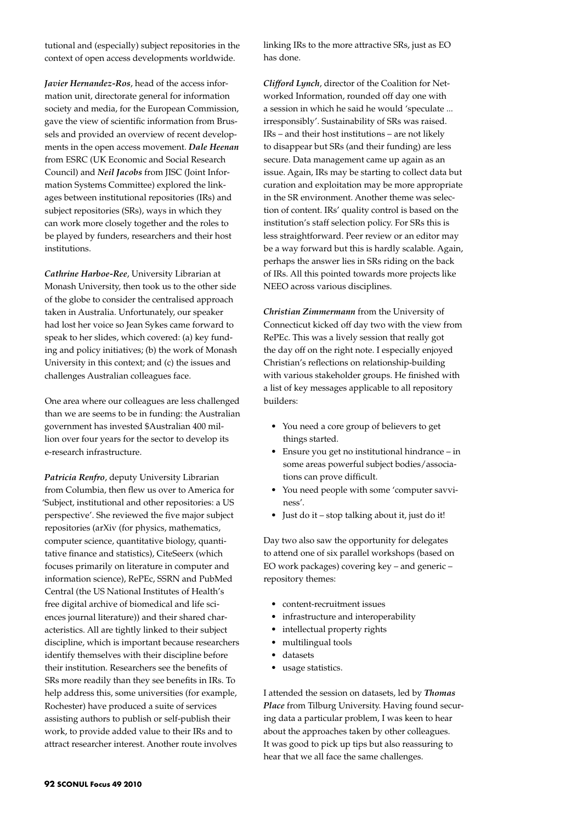tutional and (especially) subject repositories in the context of open access developments worldwide.

*Javier Hernandez-Ros*, head of the access information unit, directorate general for information society and media, for the European Commission, gave the view of scientific information from Brussels and provided an overview of recent developments in the open access movement. *Dale Heenan* from ESRC (UK Economic and Social Research Council) and *Neil Jacobs* from JISC (Joint Information Systems Committee) explored the linkages between institutional repositories (IRs) and subject repositories (SRs), ways in which they can work more closely together and the roles to be played by funders, researchers and their host institutions.

*Cathrine Harboe-Ree*, University Librarian at Monash University, then took us to the other side of the globe to consider the centralised approach taken in Australia. Unfortunately, our speaker had lost her voice so Jean Sykes came forward to speak to her slides, which covered: (a) key funding and policy initiatives; (b) the work of Monash University in this context; and (c) the issues and challenges Australian colleagues face.

One area where our colleagues are less challenged than we are seems to be in funding: the Australian government has invested \$Australian 400 million over four years for the sector to develop its e-research infrastructure.

*Patricia Renfro*, deputy University Librarian from Columbia, then flew us over to America for 'Subject, institutional and other repositories: a US perspective'. She reviewed the five major subject repositories (arXiv (for physics, mathematics, computer science, quantitative biology, quantitative finance and statistics), CiteSeerx (which focuses primarily on literature in computer and information science), RePEc, SSRN and PubMed Central (the US National Institutes of Health's free digital archive of biomedical and life sciences journal literature)) and their shared characteristics. All are tightly linked to their subject discipline, which is important because researchers identify themselves with their discipline before their institution. Researchers see the benefits of SRs more readily than they see benefits in IRs. To help address this, some universities (for example, Rochester) have produced a suite of services assisting authors to publish or self-publish their work, to provide added value to their IRs and to attract researcher interest. Another route involves

linking IRs to the more attractive SRs, just as EO has done.

*Clifford Lynch*, director of the Coalition for Networked Information, rounded off day one with a session in which he said he would 'speculate ... irresponsibly'. Sustainability of SRs was raised. IRs – and their host institutions – are not likely to disappear but SRs (and their funding) are less secure. Data management came up again as an issue. Again, IRs may be starting to collect data but curation and exploitation may be more appropriate in the SR environment. Another theme was selection of content. IRs' quality control is based on the institution's staff selection policy. For SRs this is less straightforward. Peer review or an editor may be a way forward but this is hardly scalable. Again, perhaps the answer lies in SRs riding on the back of IRs. All this pointed towards more projects like NEEO across various disciplines.

*Christian Zimmermann* from the University of Connecticut kicked off day two with the view from RePEc. This was a lively session that really got the day off on the right note. I especially enjoyed Christian's reflections on relationship-building with various stakeholder groups. He finished with a list of key messages applicable to all repository builders:

- You need a core group of believers to get things started.
- Ensure you get no institutional hindrance in some areas powerful subject bodies/associations can prove difficult.
- • You need people with some 'computer savviness'.
- Just do it stop talking about it, just do it!

Day two also saw the opportunity for delegates to attend one of six parallel workshops (based on EO work packages) covering key – and generic – repository themes:

- content-recruitment issues
- infrastructure and interoperability
- intellectual property rights
- multilingual tools
- • datasets
- usage statistics.

I attended the session on datasets, led by *Thomas Place* from Tilburg University. Having found securing data a particular problem, I was keen to hear about the approaches taken by other colleagues. It was good to pick up tips but also reassuring to hear that we all face the same challenges.